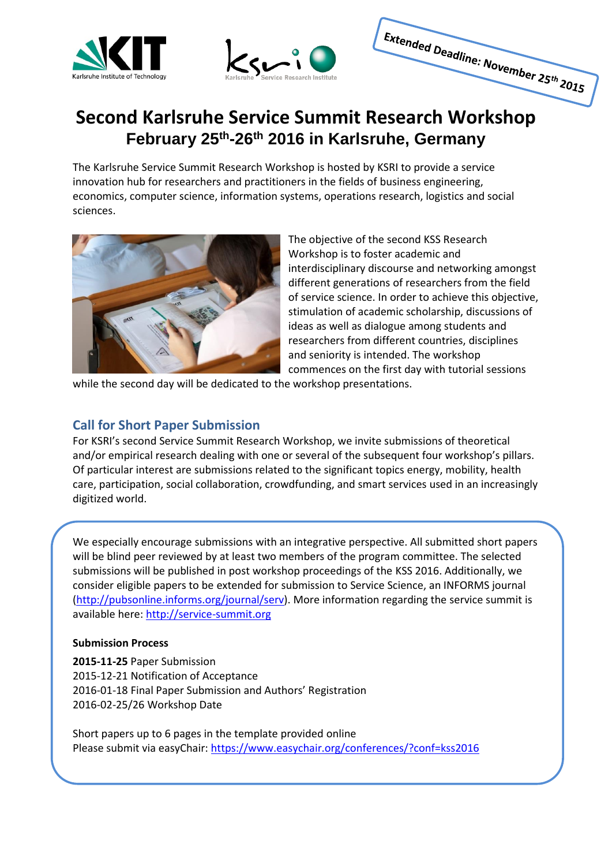



# Extended Deadline: November 25th 2015

## **Second Karlsruhe Service Summit Research Workshop February 25th-26th 2016 in Karlsruhe, Germany**

The Karlsruhe Service Summit Research Workshop is hosted by KSRI to provide a service innovation hub for researchers and practitioners in the fields of business engineering, economics, computer science, information systems, operations research, logistics and social sciences.



The objective of the second KSS Research Workshop is to foster academic and interdisciplinary discourse and networking amongst different generations of researchers from the field of service science. In order to achieve this objective, stimulation of academic scholarship, discussions of ideas as well as dialogue among students and researchers from different countries, disciplines and seniority is intended. The workshop commences on the first day with tutorial sessions

while the second day will be dedicated to the workshop presentations.

### **Call for Short Paper Submission**

For KSRI's second Service Summit Research Workshop, we invite submissions of theoretical and/or empirical research dealing with one or several of the subsequent four workshop's pillars. Of particular interest are submissions related to the significant topics energy, mobility, health care, participation, social collaboration, crowdfunding, and smart services used in an increasingly digitized world.

We especially encourage submissions with an integrative perspective. All submitted short papers will be blind peer reviewed by at least two members of the program committee. The selected submissions will be published in post workshop proceedings of the KSS 2016. Additionally, we consider eligible papers to be extended for submission to Service Science, an INFORMS journal [\(http://pubsonline.informs.org/journal/serv\)](http://pubsonline.informs.org/journal/serv). More information regarding the service summit is available here: [http://service-summit.org](http://service-summit.org/)

#### **Submission Process**

**2015-11-25** Paper Submission 2015-12-21 Notification of Acceptance 2016-01-18 Final Paper Submission and Authors' Registration 2016-02-25/26 Workshop Date

Short papers up to 6 pages in the template provided online Please submit via easyChair:<https://www.easychair.org/conferences/?conf=kss2016>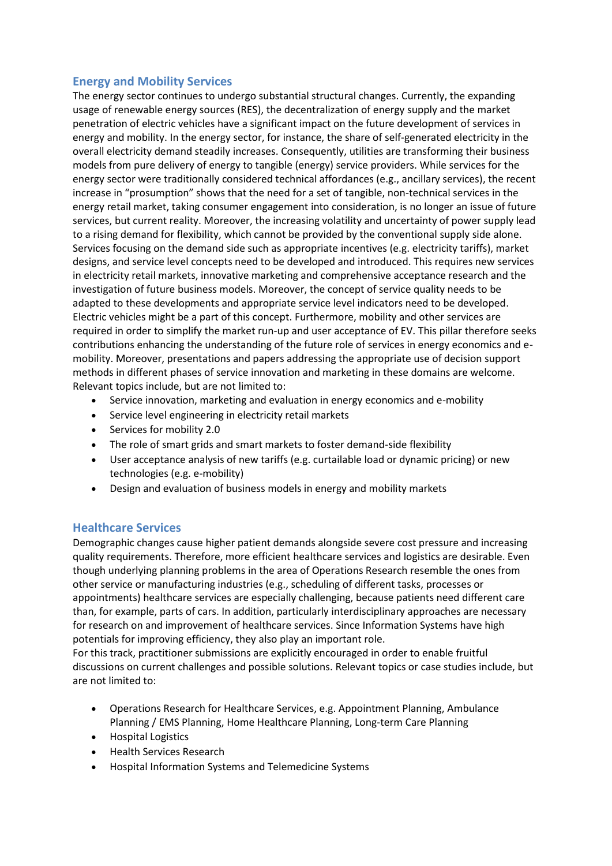#### **Energy and Mobility Services**

The energy sector continues to undergo substantial structural changes. Currently, the expanding usage of renewable energy sources (RES), the decentralization of energy supply and the market penetration of electric vehicles have a significant impact on the future development of services in energy and mobility. In the energy sector, for instance, the share of self-generated electricity in the overall electricity demand steadily increases. Consequently, utilities are transforming their business models from pure delivery of energy to tangible (energy) service providers. While services for the energy sector were traditionally considered technical affordances (e.g., ancillary services), the recent increase in "prosumption" shows that the need for a set of tangible, non-technical services in the energy retail market, taking consumer engagement into consideration, is no longer an issue of future services, but current reality. Moreover, the increasing volatility and uncertainty of power supply lead to a rising demand for flexibility, which cannot be provided by the conventional supply side alone. Services focusing on the demand side such as appropriate incentives (e.g. electricity tariffs), market designs, and service level concepts need to be developed and introduced. This requires new services in electricity retail markets, innovative marketing and comprehensive acceptance research and the investigation of future business models. Moreover, the concept of service quality needs to be adapted to these developments and appropriate service level indicators need to be developed. Electric vehicles might be a part of this concept. Furthermore, mobility and other services are required in order to simplify the market run-up and user acceptance of EV. This pillar therefore seeks contributions enhancing the understanding of the future role of services in energy economics and emobility. Moreover, presentations and papers addressing the appropriate use of decision support methods in different phases of service innovation and marketing in these domains are welcome. Relevant topics include, but are not limited to:

- Service innovation, marketing and evaluation in energy economics and e-mobility
- Service level engineering in electricity retail markets
- Services for mobility 2.0
- The role of smart grids and smart markets to foster demand-side flexibility
- User acceptance analysis of new tariffs (e.g. curtailable load or dynamic pricing) or new technologies (e.g. e-mobility)
- Design and evaluation of business models in energy and mobility markets

#### **Healthcare Services**

Demographic changes cause higher patient demands alongside severe cost pressure and increasing quality requirements. Therefore, more efficient healthcare services and logistics are desirable. Even though underlying planning problems in the area of Operations Research resemble the ones from other service or manufacturing industries (e.g., scheduling of different tasks, processes or appointments) healthcare services are especially challenging, because patients need different care than, for example, parts of cars. In addition, particularly interdisciplinary approaches are necessary for research on and improvement of healthcare services. Since Information Systems have high potentials for improving efficiency, they also play an important role.

For this track, practitioner submissions are explicitly encouraged in order to enable fruitful discussions on current challenges and possible solutions. Relevant topics or case studies include, but are not limited to:

- Operations Research for Healthcare Services, e.g. Appointment Planning, Ambulance Planning / EMS Planning, Home Healthcare Planning, Long-term Care Planning
- **•** Hospital Logistics
- Health Services Research
- Hospital Information Systems and Telemedicine Systems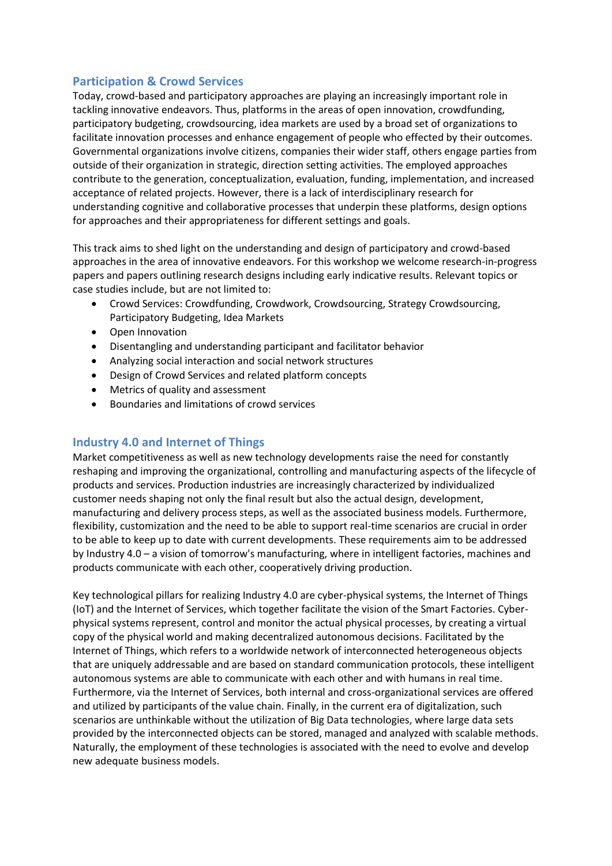#### **Participation & Crowd Services**

Today, crowd-based and participatory approaches are playing an increasingly important role in tackling innovative endeavors. Thus, platforms in the areas of open innovation, crowdfunding, participatory budgeting, crowdsourcing, idea markets are used by a broad set of organizations to facilitate innovation processes and enhance engagement of people who effected by their outcomes. Governmental organizations involve citizens, companies their wider staff, others engage parties from outside of their organization in strategic, direction setting activities. The employed approaches contribute to the generation, conceptualization, evaluation, funding, implementation, and increased acceptance of related projects. However, there is a lack of interdisciplinary research for understanding cognitive and collaborative processes that underpin these platforms, design options for approaches and their appropriateness for different settings and goals.

This track aims to shed light on the understanding and design of participatory and crowd-based approaches in the area of innovative endeavors. For this workshop we welcome research-in-progress papers and papers outlining research designs including early indicative results. Relevant topics or case studies include, but are not limited to:

- Crowd Services: Crowdfunding, Crowdwork, Crowdsourcing, Strategy Crowdsourcing, Participatory Budgeting, Idea Markets
- Open Innovation
- Disentangling and understanding participant and facilitator behavior
- Analyzing social interaction and social network structures
- Design of Crowd Services and related platform concepts
- Metrics of quality and assessment
- Boundaries and limitations of crowd services

#### **Industry 4.0 and Internet of Things**

Market competitiveness as well as new technology developments raise the need for constantly reshaping and improving the organizational, controlling and manufacturing aspects of the lifecycle of products and services. Production industries are increasingly characterized by individualized customer needs shaping not only the final result but also the actual design, development, manufacturing and delivery process steps, as well as the associated business models. Furthermore, flexibility, customization and the need to be able to support real-time scenarios are crucial in order to be able to keep up to date with current developments. These requirements aim to be addressed by Industry 4.0 – a vision of tomorrow's manufacturing, where in intelligent factories, machines and products communicate with each other, cooperatively driving production.

Key technological pillars for realizing Industry 4.0 are cyber-physical systems, the Internet of Things (IoT) and the Internet of Services, which together facilitate the vision of the Smart Factories. Cyberphysical systems represent, control and monitor the actual physical processes, by creating a virtual copy of the physical world and making decentralized autonomous decisions. Facilitated by the Internet of Things, which refers to a worldwide network of interconnected heterogeneous objects that are uniquely addressable and are based on standard communication protocols, these intelligent autonomous systems are able to communicate with each other and with humans in real time. Furthermore, via the Internet of Services, both internal and cross-organizational services are offered and utilized by participants of the value chain. Finally, in the current era of digitalization, such scenarios are unthinkable without the utilization of Big Data technologies, where large data sets provided by the interconnected objects can be stored, managed and analyzed with scalable methods. Naturally, the employment of these technologies is associated with the need to evolve and develop new adequate business models.